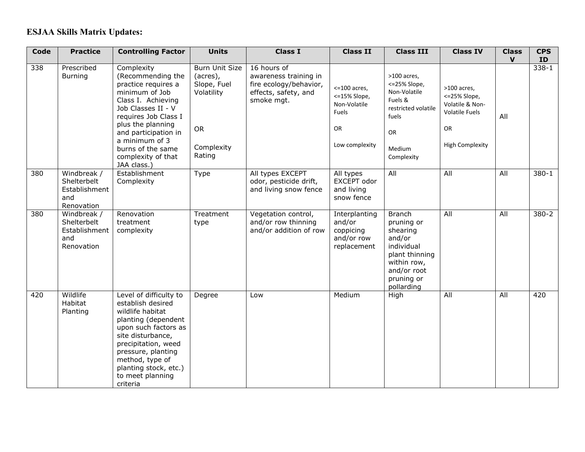## **ESJAA Skills Matrix Updates:**

| Code | <b>Practice</b>                                                  | <b>Controlling Factor</b>                                                                                                                                                                                                                                             | <b>Units</b>                                                                                 | <b>Class I</b>                                                                                       | <b>Class II</b>                                                                          | <b>Class III</b>                                                                                                                            | <b>Class IV</b>                                                                                                 | <b>Class</b><br>$\mathbf{v}$ | <b>CPS</b><br>ID |
|------|------------------------------------------------------------------|-----------------------------------------------------------------------------------------------------------------------------------------------------------------------------------------------------------------------------------------------------------------------|----------------------------------------------------------------------------------------------|------------------------------------------------------------------------------------------------------|------------------------------------------------------------------------------------------|---------------------------------------------------------------------------------------------------------------------------------------------|-----------------------------------------------------------------------------------------------------------------|------------------------------|------------------|
| 338  | Prescribed<br><b>Burning</b>                                     | Complexity<br>(Recommending the<br>practice requires a<br>minimum of Job<br>Class I. Achieving<br>Job Classes II - V<br>requires Job Class I<br>plus the planning<br>and participation in<br>a minimum of 3<br>burns of the same<br>complexity of that<br>JAA class.) | Burn Unit Size<br>(acres),<br>Slope, Fuel<br>Volatility<br><b>OR</b><br>Complexity<br>Rating | 16 hours of<br>awareness training in<br>fire ecology/behavior,<br>effects, safety, and<br>smoke mgt. | $<$ =100 acres,<br><= 15% Slope,<br>Non-Volatile<br>Fuels<br><b>OR</b><br>Low complexity | >100 acres,<br><= 25% Slope,<br>Non-Volatile<br>Fuels &<br>restricted volatile<br>fuels<br>OR<br>Medium<br>Complexity                       | >100 acres,<br><= 25% Slope,<br>Volatile & Non-<br><b>Volatile Fuels</b><br><b>OR</b><br><b>High Complexity</b> | All                          | $338 - 1$        |
| 380  | Windbreak /<br>Shelterbelt<br>Establishment<br>and<br>Renovation | Establishment<br>Complexity                                                                                                                                                                                                                                           | Type                                                                                         | All types EXCEPT<br>odor, pesticide drift,<br>and living snow fence                                  | All types<br>EXCEPT odor<br>and living<br>snow fence                                     | All                                                                                                                                         | All                                                                                                             | All                          | $380 - 1$        |
| 380  | Windbreak /<br>Shelterbelt<br>Establishment<br>and<br>Renovation | Renovation<br>treatment<br>complexity                                                                                                                                                                                                                                 | Treatment<br>type                                                                            | Vegetation control,<br>and/or row thinning<br>and/or addition of row                                 | Interplanting<br>and/or<br>coppicing<br>and/or row<br>replacement                        | <b>Branch</b><br>pruning or<br>shearing<br>and/or<br>individual<br>plant thinning<br>within row,<br>and/or root<br>pruning or<br>pollarding | All                                                                                                             | $\overline{All}$             | $380 - 2$        |
| 420  | Wildlife<br>Habitat<br>Planting                                  | Level of difficulty to<br>establish desired<br>wildlife habitat<br>planting (dependent<br>upon such factors as<br>site disturbance,<br>precipitation, weed<br>pressure, planting<br>method, type of<br>planting stock, etc.)<br>to meet planning<br>criteria          | Degree                                                                                       | Low                                                                                                  | Medium                                                                                   | High                                                                                                                                        | All                                                                                                             | All                          | 420              |